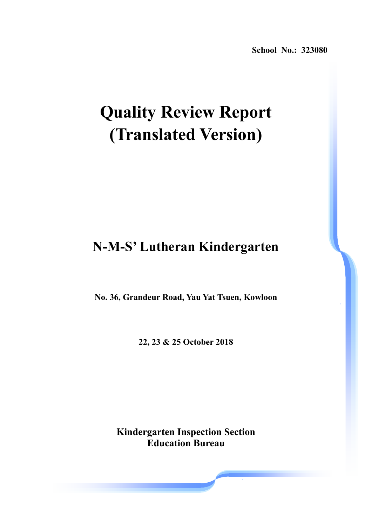**School No.: 323080** 

# **Quality Review Report (Translated Version)**

## **N-M-S' Lutheran Kindergarten**

**No. 36, Grandeur Road, Yau Yat Tsuen, Kowloon** 

**22, 23 & 25 October 2018** 

**Kindergarten Inspection Section Education Bureau**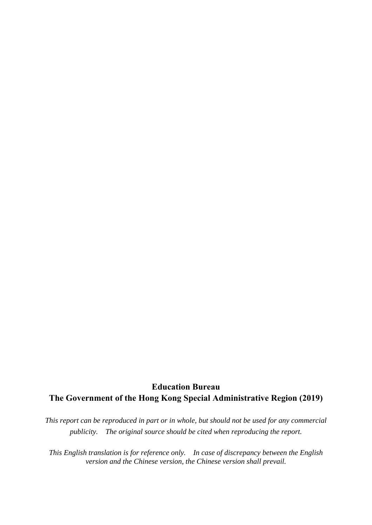### **Education Bureau The Government of the Hong Kong Special Administrative Region (2019)**

*This report can be reproduced in part or in whole, but should not be used for any commercial publicity. The original source should be cited when reproducing the report.* 

*This English translation is for reference only. In case of discrepancy between the English version and the Chinese version, the Chinese version shall prevail.*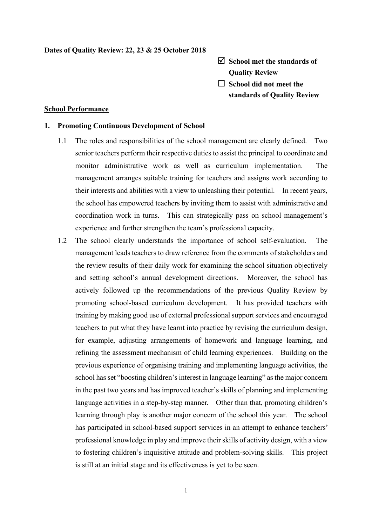#### **Dates of Quality Review: 22, 23 & 25 October 2018**

- **School met the standards of Quality Review**
- **School did not meet the standards of Quality Review**

#### **School Performance**

#### **1. Promoting Continuous Development of School**

- 1.1 The roles and responsibilities of the school management are clearly defined. Two senior teachers perform their respective duties to assist the principal to coordinate and monitor administrative work as well as curriculum implementation. The management arranges suitable training for teachers and assigns work according to their interests and abilities with a view to unleashing their potential. In recent years, the school has empowered teachers by inviting them to assist with administrative and coordination work in turns. This can strategically pass on school management's experience and further strengthen the team's professional capacity.
- 1.2 The school clearly understands the importance of school self-evaluation. The management leads teachers to draw reference from the comments of stakeholders and the review results of their daily work for examining the school situation objectively and setting school's annual development directions. Moreover, the school has actively followed up the recommendations of the previous Quality Review by promoting school-based curriculum development. It has provided teachers with training by making good use of external professional support services and encouraged teachers to put what they have learnt into practice by revising the curriculum design, for example, adjusting arrangements of homework and language learning, and refining the assessment mechanism of child learning experiences. Building on the previous experience of organising training and implementing language activities, the school has set "boosting children's interest in language learning" as the major concern in the past two years and has improved teacher's skills of planning and implementing language activities in a step-by-step manner. Other than that, promoting children's learning through play is another major concern of the school this year. The school has participated in school-based support services in an attempt to enhance teachers' professional knowledge in play and improve their skills of activity design, with a view to fostering children's inquisitive attitude and problem-solving skills. This project is still at an initial stage and its effectiveness is yet to be seen.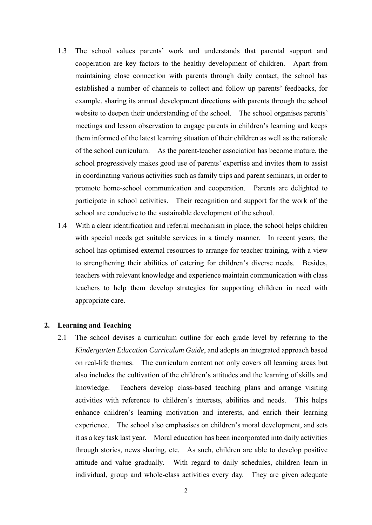- 1.3 The school values parents' work and understands that parental support and cooperation are key factors to the healthy development of children. Apart from maintaining close connection with parents through daily contact, the school has established a number of channels to collect and follow up parents' feedbacks, for example, sharing its annual development directions with parents through the school website to deepen their understanding of the school. The school organises parents' meetings and lesson observation to engage parents in children's learning and keeps them informed of the latest learning situation of their children as well as the rationale of the school curriculum. As the parent-teacher association has become mature, the school progressively makes good use of parents' expertise and invites them to assist in coordinating various activities such as family trips and parent seminars, in order to promote home-school communication and cooperation. Parents are delighted to participate in school activities. Their recognition and support for the work of the school are conducive to the sustainable development of the school.
- 1.4 With a clear identification and referral mechanism in place, the school helps children with special needs get suitable services in a timely manner. In recent years, the school has optimised external resources to arrange for teacher training, with a view to strengthening their abilities of catering for children's diverse needs. Besides, teachers with relevant knowledge and experience maintain communication with class teachers to help them develop strategies for supporting children in need with appropriate care.

#### **2. Learning and Teaching**

2.1 The school devises a curriculum outline for each grade level by referring to the *Kindergarten Education Curriculum Guide*, and adopts an integrated approach based on real-life themes. The curriculum content not only covers all learning areas but also includes the cultivation of the children's attitudes and the learning of skills and knowledge. Teachers develop class-based teaching plans and arrange visiting activities with reference to children's interests, abilities and needs. This helps enhance children's learning motivation and interests, and enrich their learning experience. The school also emphasises on children's moral development, and sets it as a key task last year. Moral education has been incorporated into daily activities through stories, news sharing, etc. As such, children are able to develop positive attitude and value gradually. With regard to daily schedules, children learn in individual, group and whole-class activities every day. They are given adequate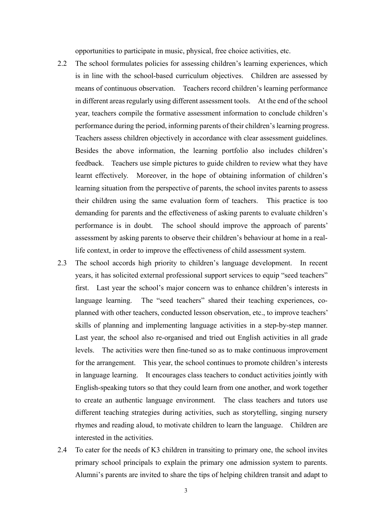opportunities to participate in music, physical, free choice activities, etc.

- 2.2 The school formulates policies for assessing children's learning experiences, which is in line with the school-based curriculum objectives. Children are assessed by means of continuous observation. Teachers record children's learning performance in different areas regularly using different assessment tools. At the end of the school year, teachers compile the formative assessment information to conclude children's performance during the period, informing parents of their children's learning progress. Teachers assess children objectively in accordance with clear assessment guidelines. Besides the above information, the learning portfolio also includes children's feedback. Teachers use simple pictures to guide children to review what they have learnt effectively. Moreover, in the hope of obtaining information of children's learning situation from the perspective of parents, the school invites parents to assess their children using the same evaluation form of teachers. This practice is too demanding for parents and the effectiveness of asking parents to evaluate children's performance is in doubt. The school should improve the approach of parents' assessment by asking parents to observe their children's behaviour at home in a reallife context, in order to improve the effectiveness of child assessment system.
- 2.3 The school accords high priority to children's language development. In recent years, it has solicited external professional support services to equip "seed teachers" first. Last year the school's major concern was to enhance children's interests in language learning. The "seed teachers" shared their teaching experiences, coplanned with other teachers, conducted lesson observation, etc., to improve teachers' skills of planning and implementing language activities in a step-by-step manner. Last year, the school also re-organised and tried out English activities in all grade levels. The activities were then fine-tuned so as to make continuous improvement for the arrangement. This year, the school continues to promote children's interests in language learning. It encourages class teachers to conduct activities jointly with English-speaking tutors so that they could learn from one another, and work together to create an authentic language environment. The class teachers and tutors use different teaching strategies during activities, such as storytelling, singing nursery rhymes and reading aloud, to motivate children to learn the language. Children are interested in the activities.
- 2.4 To cater for the needs of K3 children in transiting to primary one, the school invites primary school principals to explain the primary one admission system to parents. Alumni's parents are invited to share the tips of helping children transit and adapt to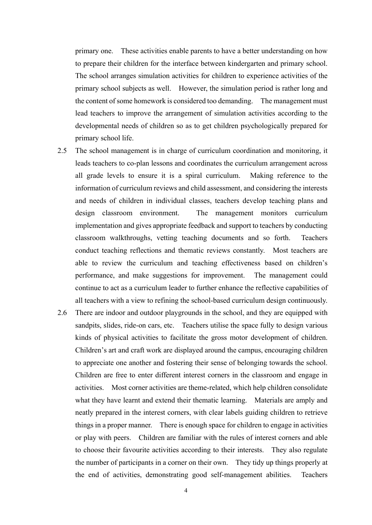primary one. These activities enable parents to have a better understanding on how to prepare their children for the interface between kindergarten and primary school. The school arranges simulation activities for children to experience activities of the primary school subjects as well. However, the simulation period is rather long and the content of some homework is considered too demanding. The management must lead teachers to improve the arrangement of simulation activities according to the developmental needs of children so as to get children psychologically prepared for primary school life.

- 2.5 The school management is in charge of curriculum coordination and monitoring, it leads teachers to co-plan lessons and coordinates the curriculum arrangement across all grade levels to ensure it is a spiral curriculum. Making reference to the information of curriculum reviews and child assessment, and considering the interests and needs of children in individual classes, teachers develop teaching plans and design classroom environment. The management monitors curriculum implementation and gives appropriate feedback and support to teachers by conducting classroom walkthroughs, vetting teaching documents and so forth. Teachers conduct teaching reflections and thematic reviews constantly. Most teachers are able to review the curriculum and teaching effectiveness based on children's performance, and make suggestions for improvement. The management could continue to act as a curriculum leader to further enhance the reflective capabilities of all teachers with a view to refining the school-based curriculum design continuously.
- 2.6 There are indoor and outdoor playgrounds in the school, and they are equipped with sandpits, slides, ride-on cars, etc. Teachers utilise the space fully to design various kinds of physical activities to facilitate the gross motor development of children. Children's art and craft work are displayed around the campus, encouraging children to appreciate one another and fostering their sense of belonging towards the school. Children are free to enter different interest corners in the classroom and engage in activities. Most corner activities are theme-related, which help children consolidate what they have learnt and extend their thematic learning. Materials are amply and neatly prepared in the interest corners, with clear labels guiding children to retrieve things in a proper manner. There is enough space for children to engage in activities or play with peers. Children are familiar with the rules of interest corners and able to choose their favourite activities according to their interests. They also regulate the number of participants in a corner on their own. They tidy up things properly at the end of activities, demonstrating good self-management abilities. Teachers